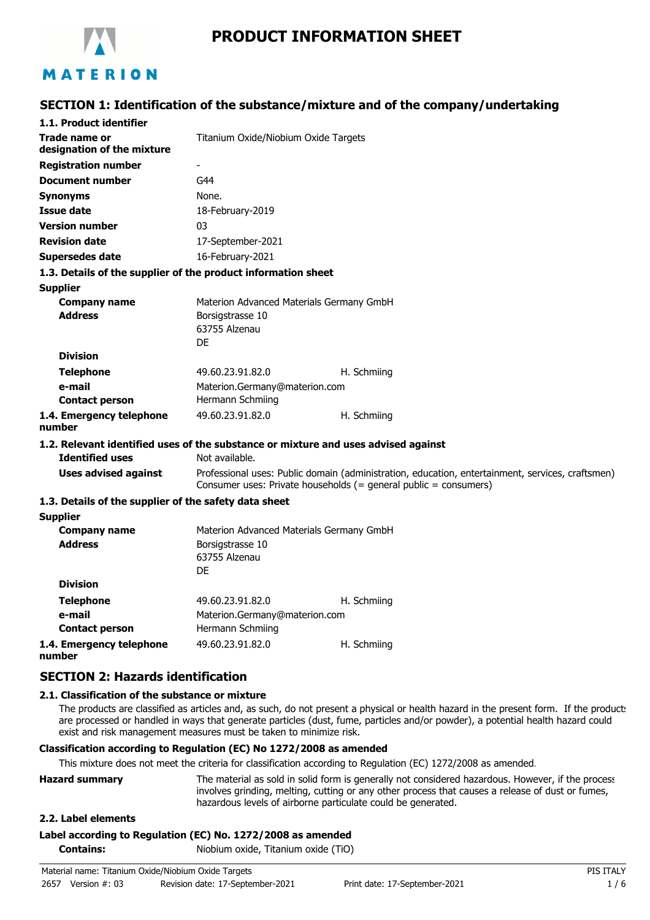

# **PRODUCT INFORMATION SHEET**

# **SECTION 1: Identification of the substance/mixture and of the company/undertaking**

| 1.1. Product identifier                                                            |                                                                                                                                                                      |             |
|------------------------------------------------------------------------------------|----------------------------------------------------------------------------------------------------------------------------------------------------------------------|-------------|
| Trade name or                                                                      |                                                                                                                                                                      |             |
| designation of the mixture                                                         | Titanium Oxide/Niobium Oxide Targets                                                                                                                                 |             |
| <b>Registration number</b>                                                         |                                                                                                                                                                      |             |
| <b>Document number</b>                                                             | G44                                                                                                                                                                  |             |
| <b>Synonyms</b>                                                                    | None.                                                                                                                                                                |             |
| Issue date                                                                         | 18-February-2019                                                                                                                                                     |             |
| <b>Version number</b>                                                              | 03                                                                                                                                                                   |             |
| <b>Revision date</b>                                                               | 17-September-2021                                                                                                                                                    |             |
| <b>Supersedes date</b>                                                             | 16-February-2021                                                                                                                                                     |             |
| 1.3. Details of the supplier of the product information sheet                      |                                                                                                                                                                      |             |
| <b>Supplier</b>                                                                    |                                                                                                                                                                      |             |
| <b>Company name</b>                                                                | Materion Advanced Materials Germany GmbH                                                                                                                             |             |
| <b>Address</b>                                                                     | Borsigstrasse 10                                                                                                                                                     |             |
|                                                                                    | 63755 Alzenau                                                                                                                                                        |             |
|                                                                                    | DF                                                                                                                                                                   |             |
| <b>Division</b>                                                                    |                                                                                                                                                                      |             |
| <b>Telephone</b>                                                                   | 49.60.23.91.82.0                                                                                                                                                     | H. Schmiing |
| e-mail                                                                             | Materion.Germany@materion.com                                                                                                                                        |             |
| <b>Contact person</b>                                                              | Hermann Schmiing                                                                                                                                                     |             |
| 1.4. Emergency telephone<br>number                                                 | 49.60.23.91.82.0                                                                                                                                                     | H. Schmiing |
| 1.2. Relevant identified uses of the substance or mixture and uses advised against |                                                                                                                                                                      |             |
| <b>Identified uses</b>                                                             | Not available.                                                                                                                                                       |             |
| <b>Uses advised against</b>                                                        | Professional uses: Public domain (administration, education, entertainment, services, craftsmen)<br>Consumer uses: Private households (= general public = consumers) |             |
| 1.3. Details of the supplier of the safety data sheet                              |                                                                                                                                                                      |             |
| <b>Supplier</b>                                                                    |                                                                                                                                                                      |             |
| <b>Company name</b>                                                                | Materion Advanced Materials Germany GmbH                                                                                                                             |             |
| <b>Address</b>                                                                     | Borsigstrasse 10                                                                                                                                                     |             |
|                                                                                    | 63755 Alzenau                                                                                                                                                        |             |
|                                                                                    | DF                                                                                                                                                                   |             |
| <b>Division</b>                                                                    |                                                                                                                                                                      |             |
| <b>Telephone</b>                                                                   | 49.60.23.91.82.0                                                                                                                                                     | H. Schmiing |
| e-mail                                                                             | Materion.Germany@materion.com                                                                                                                                        |             |
| <b>Contact person</b>                                                              | Hermann Schmiing                                                                                                                                                     |             |

**1.4. Emergency telephone number**

## **SECTION 2: Hazards identification**

#### **2.1. Classification of the substance or mixture**

The products are classified as articles and, as such, do not present a physical or health hazard in the present form. If the product: are processed or handled in ways that generate particles (dust, fume, particles and/or powder), a potential health hazard could exist and risk management measures must be taken to minimize risk.

#### **Classification according to Regulation (EC) No 1272/2008 as amended**

This mixture does not meet the criteria for classification according to Regulation (EC) 1272/2008 as amended.

49.60.23.91.82.0 H. Schmiing

| <b>Hazard summary</b> | The material as sold in solid form is generally not considered hazardous. However, if the process |
|-----------------------|---------------------------------------------------------------------------------------------------|
|                       | involves grinding, melting, cutting or any other process that causes a release of dust or fumes,  |
|                       | hazardous levels of airborne particulate could be generated.                                      |

#### **2.2. Label elements**

#### **Label according to Regulation (EC) No. 1272/2008 as amended**

**Contains:** Niobium oxide, Titanium oxide (TiO)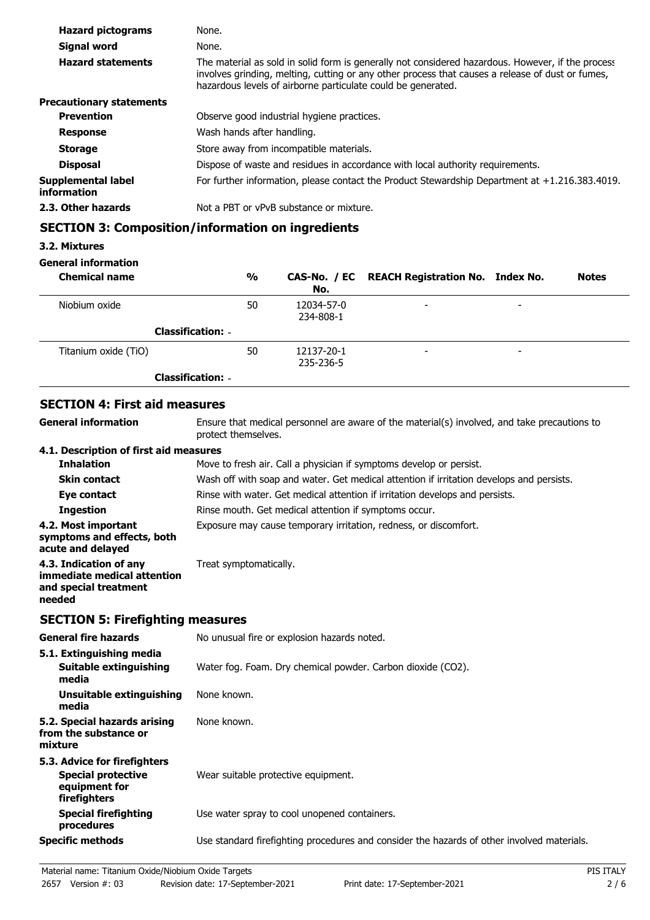| <b>Hazard pictograms</b>          | None.                                                                                                                                                                                                                                                                 |  |
|-----------------------------------|-----------------------------------------------------------------------------------------------------------------------------------------------------------------------------------------------------------------------------------------------------------------------|--|
| Signal word                       | None.                                                                                                                                                                                                                                                                 |  |
| <b>Hazard statements</b>          | The material as sold in solid form is generally not considered hazardous. However, if the process<br>involves grinding, melting, cutting or any other process that causes a release of dust or fumes,<br>hazardous levels of airborne particulate could be generated. |  |
| <b>Precautionary statements</b>   |                                                                                                                                                                                                                                                                       |  |
| <b>Prevention</b>                 | Observe good industrial hygiene practices.                                                                                                                                                                                                                            |  |
| <b>Response</b>                   | Wash hands after handling.                                                                                                                                                                                                                                            |  |
| <b>Storage</b>                    | Store away from incompatible materials.                                                                                                                                                                                                                               |  |
| <b>Disposal</b>                   | Dispose of waste and residues in accordance with local authority requirements.                                                                                                                                                                                        |  |
| Supplemental label<br>information | For further information, please contact the Product Stewardship Department at +1.216.383.4019.                                                                                                                                                                        |  |
| 2.3. Other hazards                | Not a PBT or vPvB substance or mixture.                                                                                                                                                                                                                               |  |

# **SECTION 3: Composition/information on ingredients**

## **3.2. Mixtures**

## **General information**

| <b>Chemical name</b>     | %  | No.                     | CAS-No. / EC REACH Registration No. Index No. |                          | <b>Notes</b> |
|--------------------------|----|-------------------------|-----------------------------------------------|--------------------------|--------------|
| Niobium oxide            | 50 | 12034-57-0<br>234-808-1 | $\overline{\phantom{0}}$                      | $\overline{\phantom{0}}$ |              |
| <b>Classification: -</b> |    |                         |                                               |                          |              |
| Titanium oxide (TiO)     | 50 | 12137-20-1<br>235-236-5 | $\overline{\phantom{0}}$                      | $\overline{\phantom{0}}$ |              |
| <b>Classification: -</b> |    |                         |                                               |                          |              |

# **SECTION 4: First aid measures**

| <b>General information</b>                                                               | Ensure that medical personnel are aware of the material(s) involved, and take precautions to<br>protect themselves. |
|------------------------------------------------------------------------------------------|---------------------------------------------------------------------------------------------------------------------|
| 4.1. Description of first aid measures                                                   |                                                                                                                     |
| <b>Inhalation</b>                                                                        | Move to fresh air. Call a physician if symptoms develop or persist.                                                 |
| <b>Skin contact</b>                                                                      | Wash off with soap and water. Get medical attention if irritation develops and persists.                            |
| Eye contact                                                                              | Rinse with water. Get medical attention if irritation develops and persists.                                        |
| <b>Ingestion</b>                                                                         | Rinse mouth. Get medical attention if symptoms occur.                                                               |
| 4.2. Most important<br>symptoms and effects, both<br>acute and delayed                   | Exposure may cause temporary irritation, redness, or discomfort.                                                    |
| 4.3. Indication of any<br>immediate medical attention<br>and special treatment<br>needed | Treat symptomatically.                                                                                              |

# **SECTION 5: Firefighting measures**

| <b>General fire hazards</b>                                                                | No unusual fire or explosion hazards noted.                                                |
|--------------------------------------------------------------------------------------------|--------------------------------------------------------------------------------------------|
| 5.1. Extinguishing media<br>Suitable extinguishing<br>media                                | Water fog. Foam. Dry chemical powder. Carbon dioxide (CO2).                                |
| Unsuitable extinguishing<br>media                                                          | None known.                                                                                |
| 5.2. Special hazards arising<br>from the substance or<br>mixture                           | None known.                                                                                |
| 5.3. Advice for firefighters<br><b>Special protective</b><br>equipment for<br>firefighters | Wear suitable protective equipment.                                                        |
| <b>Special firefighting</b><br>procedures                                                  | Use water spray to cool unopened containers.                                               |
| <b>Specific methods</b>                                                                    | Use standard firefighting procedures and consider the hazards of other involved materials. |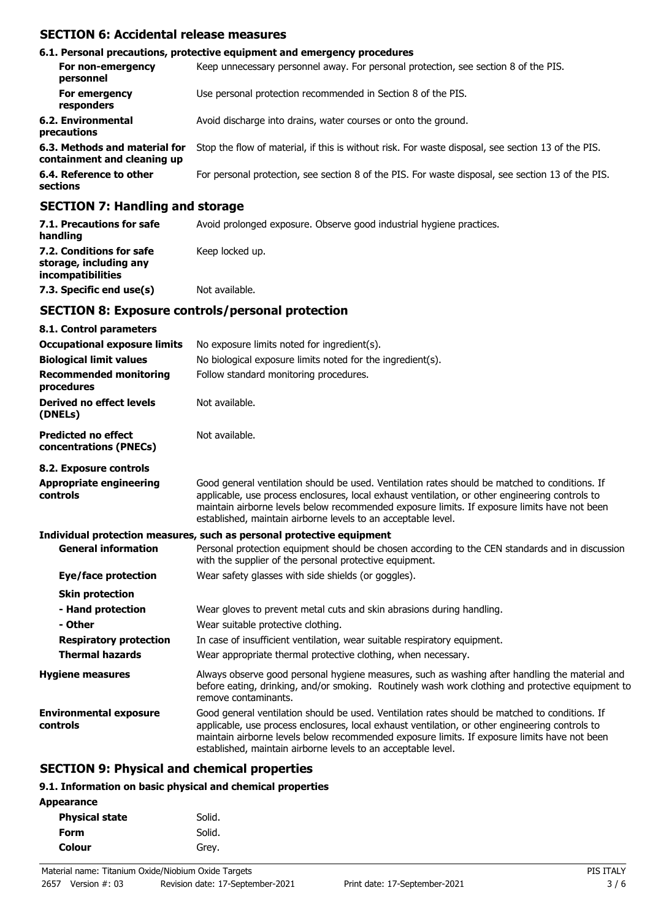## **SECTION 6: Accidental release measures**

|                                                                                                                                                                                                                               | 6.1. Personal precautions, protective equipment and emergency procedures                           |
|-------------------------------------------------------------------------------------------------------------------------------------------------------------------------------------------------------------------------------|----------------------------------------------------------------------------------------------------|
| For non-emergency<br>personnel                                                                                                                                                                                                | Keep unnecessary personnel away. For personal protection, see section 8 of the PIS.                |
| For emergency<br>responders                                                                                                                                                                                                   | Use personal protection recommended in Section 8 of the PIS.                                       |
| 6.2. Environmental<br>precautions                                                                                                                                                                                             | Avoid discharge into drains, water courses or onto the ground.                                     |
| 6.3. Methods and material for<br>containment and cleaning up                                                                                                                                                                  | Stop the flow of material, if this is without risk. For waste disposal, see section 13 of the PIS. |
| 6.4. Reference to other<br>sections                                                                                                                                                                                           | For personal protection, see section 8 of the PIS. For waste disposal, see section 13 of the PIS.  |
| $A$ - $A$ - $A$ - $A$ - $A$ - $A$ - $A$ - $A$ - $A$ - $A$ - $A$ - $A$ - $A$ - $A$ - $A$ - $A$ - $A$ - $A$ - $A$ - $A$ - $A$ - $A$ - $A$ - $A$ - $A$ - $A$ - $A$ - $A$ - $A$ - $A$ - $A$ - $A$ - $A$ - $A$ - $A$ - $A$ - $A$ - |                                                                                                    |

## **SECTION 7: Handling and storage**

| 7.1. Precautions for safe<br>handling                                   | Avoid prolonged exposure. Observe good industrial hygiene practices. |
|-------------------------------------------------------------------------|----------------------------------------------------------------------|
| 7.2. Conditions for safe<br>storage, including any<br>incompatibilities | Keep locked up.                                                      |
| 7.3. Specific end use(s)                                                | Not available.                                                       |

## **SECTION 8: Exposure controls/personal protection**

| 8.1. Control parameters                              |                                                                                                                                                                                                                                                                                                                                                                    |
|------------------------------------------------------|--------------------------------------------------------------------------------------------------------------------------------------------------------------------------------------------------------------------------------------------------------------------------------------------------------------------------------------------------------------------|
| <b>Occupational exposure limits</b>                  | No exposure limits noted for ingredient(s).                                                                                                                                                                                                                                                                                                                        |
| <b>Biological limit values</b>                       | No biological exposure limits noted for the ingredient(s).                                                                                                                                                                                                                                                                                                         |
| <b>Recommended monitoring</b><br>procedures          | Follow standard monitoring procedures.                                                                                                                                                                                                                                                                                                                             |
| Derived no effect levels<br>(DNELs)                  | Not available.                                                                                                                                                                                                                                                                                                                                                     |
| <b>Predicted no effect</b><br>concentrations (PNECs) | Not available.                                                                                                                                                                                                                                                                                                                                                     |
| 8.2. Exposure controls                               |                                                                                                                                                                                                                                                                                                                                                                    |
| <b>Appropriate engineering</b><br>controls           | Good general ventilation should be used. Ventilation rates should be matched to conditions. If<br>applicable, use process enclosures, local exhaust ventilation, or other engineering controls to<br>maintain airborne levels below recommended exposure limits. If exposure limits have not been<br>established, maintain airborne levels to an acceptable level. |
|                                                      | Individual protection measures, such as personal protective equipment                                                                                                                                                                                                                                                                                              |
| <b>General information</b>                           | Personal protection equipment should be chosen according to the CEN standards and in discussion<br>with the supplier of the personal protective equipment.                                                                                                                                                                                                         |
| Eye/face protection                                  | Wear safety glasses with side shields (or goggles).                                                                                                                                                                                                                                                                                                                |
| <b>Skin protection</b>                               |                                                                                                                                                                                                                                                                                                                                                                    |
| - Hand protection                                    | Wear gloves to prevent metal cuts and skin abrasions during handling.                                                                                                                                                                                                                                                                                              |
| - Other                                              | Wear suitable protective clothing.                                                                                                                                                                                                                                                                                                                                 |
| <b>Respiratory protection</b>                        | In case of insufficient ventilation, wear suitable respiratory equipment.                                                                                                                                                                                                                                                                                          |
| <b>Thermal hazards</b>                               | Wear appropriate thermal protective clothing, when necessary.                                                                                                                                                                                                                                                                                                      |
| <b>Hygiene measures</b>                              | Always observe good personal hygiene measures, such as washing after handling the material and<br>before eating, drinking, and/or smoking. Routinely wash work clothing and protective equipment to<br>remove contaminants.                                                                                                                                        |
| <b>Environmental exposure</b><br>controls            | Good general ventilation should be used. Ventilation rates should be matched to conditions. If<br>applicable, use process enclosures, local exhaust ventilation, or other engineering controls to<br>maintain airborne levels below recommended exposure limits. If exposure limits have not been<br>established, maintain airborne levels to an acceptable level. |

# **SECTION 9: Physical and chemical properties**

#### **9.1. Information on basic physical and chemical properties**

| <b>Appearance</b>     |        |
|-----------------------|--------|
| <b>Physical state</b> | Solid. |
| <b>Form</b>           | Solid. |
| <b>Colour</b>         | Grey.  |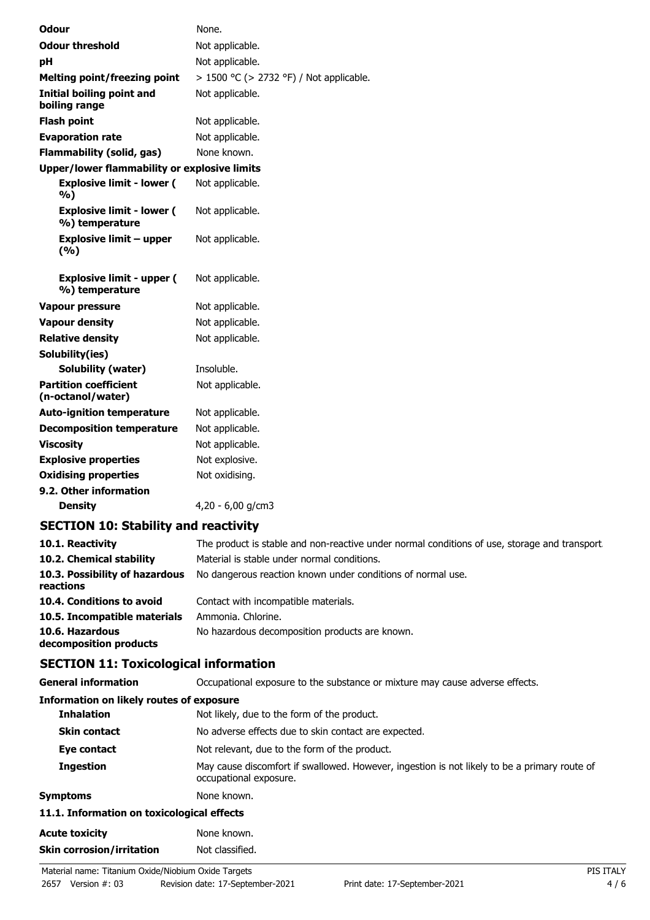| <b>Odour</b>                                        | None.                                   |
|-----------------------------------------------------|-----------------------------------------|
| <b>Odour threshold</b>                              | Not applicable.                         |
| рH                                                  | Not applicable.                         |
| <b>Melting point/freezing point</b>                 | > 1500 °C (> 2732 °F) / Not applicable. |
| Initial boiling point and<br>boiling range          | Not applicable.                         |
| <b>Flash point</b>                                  | Not applicable.                         |
| <b>Evaporation rate</b>                             | Not applicable.                         |
| <b>Flammability (solid, gas)</b>                    | None known.                             |
| <b>Upper/lower flammability or explosive limits</b> |                                         |
| <b>Explosive limit - lower (</b><br>%)              | Not applicable.                         |
| <b>Explosive limit - lower (</b><br>%) temperature  | Not applicable.                         |
| Explosive limit – upper<br>(9/6)                    | Not applicable.                         |
| <b>Explosive limit - upper (</b><br>%) temperature  | Not applicable.                         |
| Vapour pressure                                     | Not applicable.                         |
| <b>Vapour density</b>                               | Not applicable.                         |
| <b>Relative density</b>                             | Not applicable.                         |
| Solubility(ies)                                     |                                         |
| <b>Solubility (water)</b>                           | Insoluble.                              |
| <b>Partition coefficient</b><br>(n-octanol/water)   | Not applicable.                         |
| <b>Auto-ignition temperature</b>                    | Not applicable.                         |
| <b>Decomposition temperature</b>                    | Not applicable.                         |
| <b>Viscosity</b>                                    | Not applicable.                         |
| <b>Explosive properties</b>                         | Not explosive.                          |
| <b>Oxidising properties</b>                         | Not oxidising.                          |
| 9.2. Other information                              |                                         |

**Density** 4,20 - 6,00 g/cm3

# **SECTION 10: Stability and reactivity**

| 10.1. Reactivity<br>10.2. Chemical stability | The product is stable and non-reactive under normal conditions of use, storage and transport.<br>Material is stable under normal conditions. |
|----------------------------------------------|----------------------------------------------------------------------------------------------------------------------------------------------|
| 10.3. Possibility of hazardous<br>reactions  | No dangerous reaction known under conditions of normal use.                                                                                  |
| 10.4. Conditions to avoid                    | Contact with incompatible materials.                                                                                                         |
| 10.5. Incompatible materials                 | Ammonia. Chlorine.                                                                                                                           |
| 10.6. Hazardous<br>decomposition products    | No hazardous decomposition products are known.                                                                                               |

# **SECTION 11: Toxicological information**

| <b>General information</b>               | Occupational exposure to the substance or mixture may cause adverse effects.                                           |
|------------------------------------------|------------------------------------------------------------------------------------------------------------------------|
| Information on likely routes of exposure |                                                                                                                        |
| <b>Inhalation</b>                        | Not likely, due to the form of the product.                                                                            |
| <b>Skin contact</b>                      | No adverse effects due to skin contact are expected.                                                                   |
| Eye contact                              | Not relevant, due to the form of the product.                                                                          |
| <b>Ingestion</b>                         | May cause discomfort if swallowed. However, ingestion is not likely to be a primary route of<br>occupational exposure. |
| <b>Symptoms</b>                          | None known.                                                                                                            |

### **11.1. Information on toxicological effects**

| Acute toxicity            | None known.     |
|---------------------------|-----------------|
| Skin corrosion/irritation | Not classified. |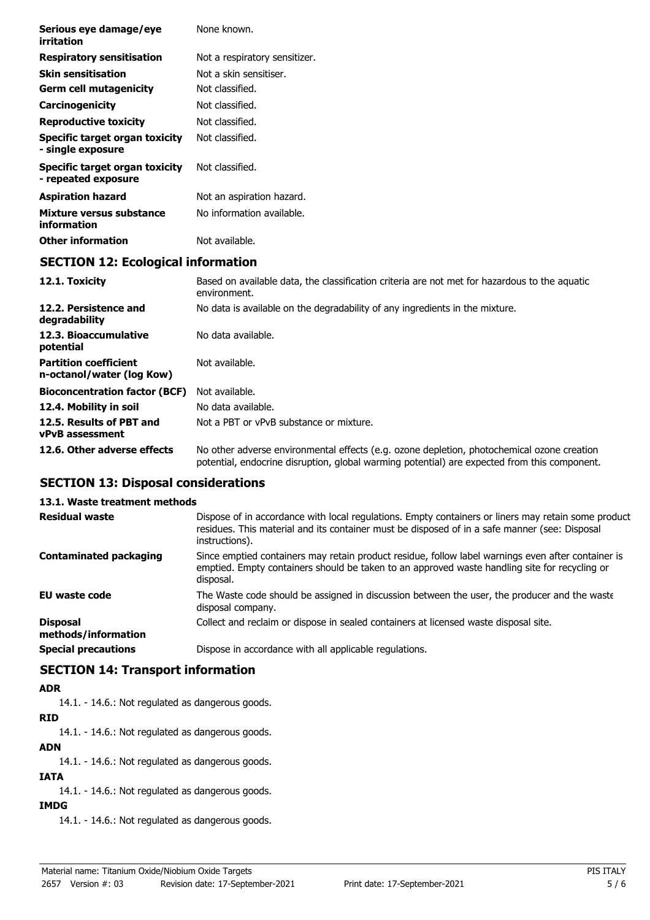| Serious eye damage/eye<br>irritation                      | None known.                                                                                                   |
|-----------------------------------------------------------|---------------------------------------------------------------------------------------------------------------|
| <b>Respiratory sensitisation</b>                          | Not a respiratory sensitizer.                                                                                 |
| <b>Skin sensitisation</b>                                 | Not a skin sensitiser.                                                                                        |
| <b>Germ cell mutagenicity</b>                             | Not classified.                                                                                               |
| Carcinogenicity                                           | Not classified.                                                                                               |
| <b>Reproductive toxicity</b>                              | Not classified.                                                                                               |
| Specific target organ toxicity<br>- single exposure       | Not classified.                                                                                               |
| Specific target organ toxicity<br>- repeated exposure     | Not classified.                                                                                               |
| <b>Aspiration hazard</b>                                  | Not an aspiration hazard.                                                                                     |
| Mixture versus substance<br>information                   | No information available.                                                                                     |
| <b>Other information</b>                                  | Not available.                                                                                                |
| <b>SECTION 12: Ecological information</b>                 |                                                                                                               |
| 12.1. Toxicity                                            | Based on available data, the classification criteria are not met for hazardous to the aquatic<br>environment. |
| 12.2. Persistence and<br>degradability                    | No data is available on the degradability of any ingredients in the mixture.                                  |
| 12.3. Bioaccumulative<br>potential                        | No data available.                                                                                            |
| <b>Partition coefficient</b><br>n-octanol/water (log Kow) | Not available.                                                                                                |
|                                                           |                                                                                                               |

| n-octanol/water (log Kow)                           |                                         |
|-----------------------------------------------------|-----------------------------------------|
| <b>Bioconcentration factor (BCF)</b> Not available. |                                         |
| 12.4. Mobility in soil                              | No data available.                      |
| 12.5. Results of PBT and<br>vPvB assessment         | Not a PBT or vPvB substance or mixture. |

**12.6. Other adverse effects** No other adverse environmental effects (e.g. ozone depletion, photochemical ozone creation potential, endocrine disruption, global warming potential) are expected from this component.

## **SECTION 13: Disposal considerations**

### **13.1. Waste treatment methods**

| <b>Residual waste</b>                  | Dispose of in accordance with local regulations. Empty containers or liners may retain some product<br>residues. This material and its container must be disposed of in a safe manner (see: Disposal<br>instructions). |
|----------------------------------------|------------------------------------------------------------------------------------------------------------------------------------------------------------------------------------------------------------------------|
| <b>Contaminated packaging</b>          | Since emptied containers may retain product residue, follow label warnings even after container is<br>emptied. Empty containers should be taken to an approved waste handling site for recycling or<br>disposal.       |
| <b>EU waste code</b>                   | The Waste code should be assigned in discussion between the user, the producer and the waste<br>disposal company.                                                                                                      |
| <b>Disposal</b><br>methods/information | Collect and reclaim or dispose in sealed containers at licensed waste disposal site.                                                                                                                                   |
| <b>Special precautions</b>             | Dispose in accordance with all applicable regulations.                                                                                                                                                                 |

# **SECTION 14: Transport information**

## **ADR**

14.1. - 14.6.: Not regulated as dangerous goods.

# **RID**

14.1. - 14.6.: Not regulated as dangerous goods.

## **ADN**

14.1. - 14.6.: Not regulated as dangerous goods.

# **IATA**

14.1. - 14.6.: Not regulated as dangerous goods.

# **IMDG**

14.1. - 14.6.: Not regulated as dangerous goods.